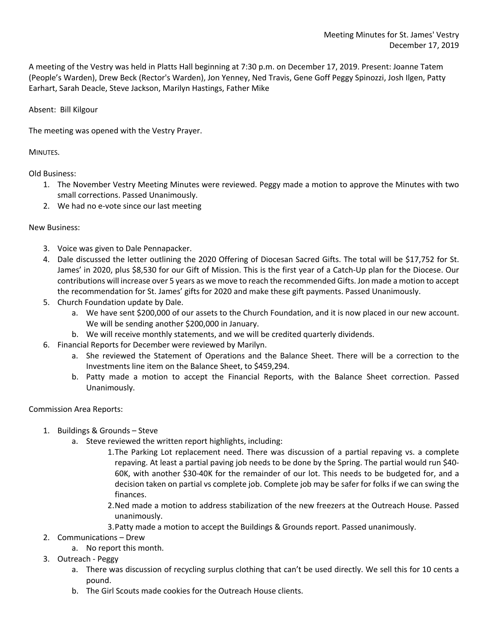A meeting of the Vestry was held in Platts Hall beginning at 7:30 p.m. on December 17, 2019. Present: Joanne Tatem (People's Warden), Drew Beck (Rector's Warden), Jon Yenney, Ned Travis, Gene Goff Peggy Spinozzi, Josh Ilgen, Patty Earhart, Sarah Deacle, Steve Jackson, Marilyn Hastings, Father Mike

Absent: Bill Kilgour

The meeting was opened with the Vestry Prayer.

MINUTES.

Old Business:

- 1. The November Vestry Meeting Minutes were reviewed. Peggy made a motion to approve the Minutes with two small corrections. Passed Unanimously.
- 2. We had no e-vote since our last meeting

## New Business:

- 3. Voice was given to Dale Pennapacker.
- 4. Dale discussed the letter outlining the 2020 Offering of Diocesan Sacred Gifts. The total will be \$17,752 for St. James' in 2020, plus \$8,530 for our Gift of Mission. This is the first year of a Catch-Up plan for the Diocese. Our contributions will increase over 5 years as we move to reach the recommended Gifts. Jon made a motion to accept the recommendation for St. James' gifts for 2020 and make these gift payments. Passed Unanimously.
- 5. Church Foundation update by Dale.
	- a. We have sent \$200,000 of our assets to the Church Foundation, and it is now placed in our new account. We will be sending another \$200,000 in January.
	- b. We will receive monthly statements, and we will be credited quarterly dividends.
- 6. Financial Reports for December were reviewed by Marilyn.
	- a. She reviewed the Statement of Operations and the Balance Sheet. There will be a correction to the Investments line item on the Balance Sheet, to \$459,294.
	- b. Patty made a motion to accept the Financial Reports, with the Balance Sheet correction. Passed Unanimously.

## Commission Area Reports:

- 1. Buildings & Grounds Steve
	- a. Steve reviewed the written report highlights, including:
		- 1.The Parking Lot replacement need. There was discussion of a partial repaving vs. a complete repaving. At least a partial paving job needs to be done by the Spring. The partial would run \$40- 60K, with another \$30-40K for the remainder of our lot. This needs to be budgeted for, and a decision taken on partial vs complete job. Complete job may be safer for folks if we can swing the finances.
		- 2.Ned made a motion to address stabilization of the new freezers at the Outreach House. Passed unanimously.
		- 3.Patty made a motion to accept the Buildings & Grounds report. Passed unanimously.
- 2. Communications Drew
	- a. No report this month.
- 3. Outreach Peggy
	- a. There was discussion of recycling surplus clothing that can't be used directly. We sell this for 10 cents a pound.
	- b. The Girl Scouts made cookies for the Outreach House clients.